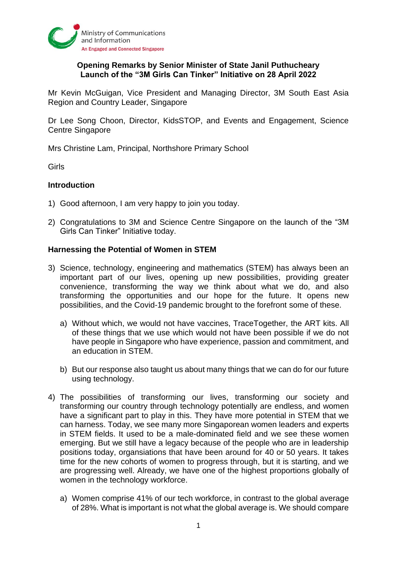

# **Opening Remarks by Senior Minister of State Janil Puthucheary Launch of the "3M Girls Can Tinker" Initiative on 28 April 2022**

Mr Kevin McGuigan, Vice President and Managing Director, 3M South East Asia Region and Country Leader, Singapore

Dr Lee Song Choon, Director, KidsSTOP, and Events and Engagement, Science Centre Singapore

Mrs Christine Lam, Principal, Northshore Primary School

Girls

### **Introduction**

- 1) Good afternoon, I am very happy to join you today.
- 2) Congratulations to 3M and Science Centre Singapore on the launch of the "3M Girls Can Tinker" Initiative today.

### **Harnessing the Potential of Women in STEM**

- 3) Science, technology, engineering and mathematics (STEM) has always been an important part of our lives, opening up new possibilities, providing greater convenience, transforming the way we think about what we do, and also transforming the opportunities and our hope for the future. It opens new possibilities, and the Covid-19 pandemic brought to the forefront some of these.
	- a) Without which, we would not have vaccines, TraceTogether, the ART kits. All of these things that we use which would not have been possible if we do not have people in Singapore who have experience, passion and commitment, and an education in STEM.
	- b) But our response also taught us about many things that we can do for our future using technology.
- 4) The possibilities of transforming our lives, transforming our society and transforming our country through technology potentially are endless, and women have a significant part to play in this. They have more potential in STEM that we can harness. Today, we see many more Singaporean women leaders and experts in STEM fields. It used to be a male-dominated field and we see these women emerging. But we still have a legacy because of the people who are in leadership positions today, organsiations that have been around for 40 or 50 years. It takes time for the new cohorts of women to progress through, but it is starting, and we are progressing well. Already, we have one of the highest proportions globally of women in the technology workforce.
	- a) Women comprise 41% of our tech workforce, in contrast to the global average of 28%. What is important is not what the global average is. We should compare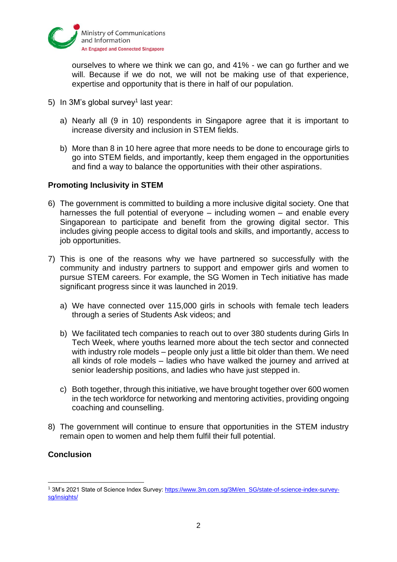

ourselves to where we think we can go, and 41% - we can go further and we will. Because if we do not, we will not be making use of that experience, expertise and opportunity that is there in half of our population.

- 5) In 3M's global survey<sup>1</sup> last year:
	- a) Nearly all (9 in 10) respondents in Singapore agree that it is important to increase diversity and inclusion in STEM fields.
	- b) More than 8 in 10 here agree that more needs to be done to encourage girls to go into STEM fields, and importantly, keep them engaged in the opportunities and find a way to balance the opportunities with their other aspirations.

### **Promoting Inclusivity in STEM**

- 6) The government is committed to building a more inclusive digital society. One that harnesses the full potential of everyone – including women – and enable every Singaporean to participate and benefit from the growing digital sector. This includes giving people access to digital tools and skills, and importantly, access to job opportunities.
- 7) This is one of the reasons why we have partnered so successfully with the community and industry partners to support and empower girls and women to pursue STEM careers. For example, the SG Women in Tech initiative has made significant progress since it was launched in 2019.
	- a) We have connected over 115,000 girls in schools with female tech leaders through a series of Students Ask videos; and
	- b) We facilitated tech companies to reach out to over 380 students during Girls In Tech Week, where youths learned more about the tech sector and connected with industry role models – people only just a little bit older than them. We need all kinds of role models – ladies who have walked the journey and arrived at senior leadership positions, and ladies who have just stepped in.
	- c) Both together, through this initiative, we have brought together over 600 women in the tech workforce for networking and mentoring activities, providing ongoing coaching and counselling.
- 8) The government will continue to ensure that opportunities in the STEM industry remain open to women and help them fulfil their full potential.

# **Conclusion**

<sup>1</sup> 3M's 2021 State of Science Index Survey: [https://www.3m.com.sg/3M/en\\_SG/state-of-science-index-survey](https://www.3m.com.sg/3M/en_SG/state-of-science-index-survey-sg/insights/)[sg/insights/](https://www.3m.com.sg/3M/en_SG/state-of-science-index-survey-sg/insights/)